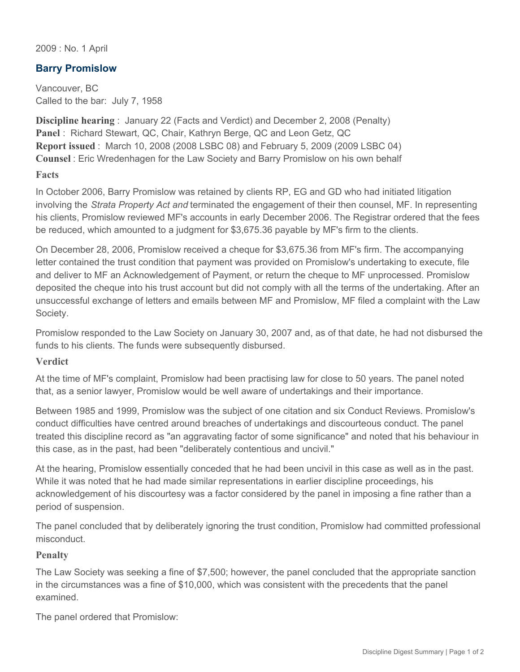2009 : No. 1 April

## **Barry Promislow**

Vancouver, BC Called to the bar: July 7, 1958

**Discipline hearing** : January 22 (Facts and Verdict) and December 2, 2008 (Penalty) **Panel** : Richard Stewart, QC, Chair, Kathryn Berge, QC and Leon Getz, QC **Report issued** : March 10, 2008 (2008 LSBC 08) and February 5, 2009 (2009 LSBC 04) **Counsel** : Eric Wredenhagen for the Law Society and Barry Promislow on his own behalf

## **Facts**

In October 2006, Barry Promislow was retained by clients RP, EG and GD who had initiated litigation involving the *Strata Property Act and* terminated the engagement of their then counsel, MF. In representing his clients, Promislow reviewed MF's accounts in early December 2006. The Registrar ordered that the fees be reduced, which amounted to a judgment for \$3,675.36 payable by MF's firm to the clients.

On December 28, 2006, Promislow received a cheque for \$3,675.36 from MF's firm. The accompanying letter contained the trust condition that payment was provided on Promislow's undertaking to execute, file and deliver to MF an Acknowledgement of Payment, or return the cheque to MF unprocessed. Promislow deposited the cheque into his trust account but did not comply with all the terms of the undertaking. After an unsuccessful exchange of letters and emails between MF and Promislow, MF filed a complaint with the Law Society.

Promislow responded to the Law Society on January 30, 2007 and, as of that date, he had not disbursed the funds to his clients. The funds were subsequently disbursed.

## **Verdict**

At the time of MF's complaint, Promislow had been practising law for close to 50 years. The panel noted that, as a senior lawyer, Promislow would be well aware of undertakings and their importance.

Between 1985 and 1999, Promislow was the subject of one citation and six Conduct Reviews. Promislow's conduct difficulties have centred around breaches of undertakings and discourteous conduct. The panel treated this discipline record as "an aggravating factor of some significance" and noted that his behaviour in this case, as in the past, had been "deliberately contentious and uncivil."

At the hearing, Promislow essentially conceded that he had been uncivil in this case as well as in the past. While it was noted that he had made similar representations in earlier discipline proceedings, his acknowledgement of his discourtesy was a factor considered by the panel in imposing a fine rather than a period of suspension.

The panel concluded that by deliberately ignoring the trust condition, Promislow had committed professional misconduct.

## **Penalty**

The Law Society was seeking a fine of \$7,500; however, the panel concluded that the appropriate sanction in the circumstances was a fine of \$10,000, which was consistent with the precedents that the panel examined.

The panel ordered that Promislow: